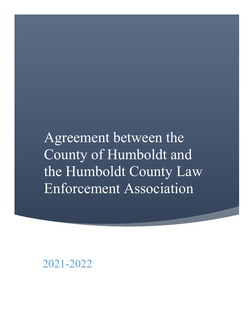Agreement between the County of Humboldt and the Humboldt County Law Enforcement Association

# 2021-2022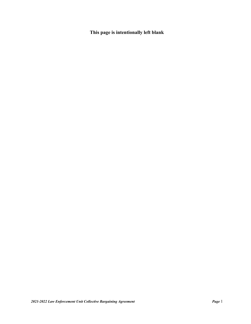**This page is intentionally left blank**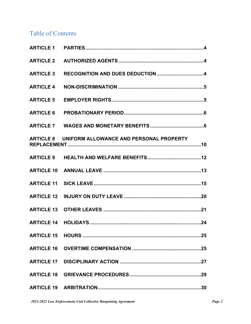## Table of Contents

| <b>ARTICLE 4</b> |                                                   |
|------------------|---------------------------------------------------|
|                  |                                                   |
|                  |                                                   |
|                  |                                                   |
|                  | ARTICLE 8 UNIFORM ALLOWANCE AND PERSONAL PROPERTY |
|                  |                                                   |
|                  |                                                   |
|                  |                                                   |
|                  |                                                   |
|                  |                                                   |
|                  |                                                   |
|                  |                                                   |
|                  |                                                   |
|                  |                                                   |
|                  |                                                   |
|                  |                                                   |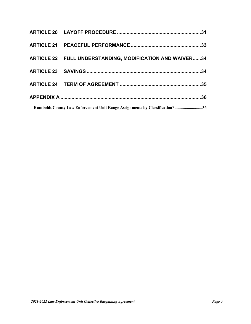| ARTICLE 22 FULL UNDERSTANDING, MODIFICATION AND WAIVER34                    |  |
|-----------------------------------------------------------------------------|--|
|                                                                             |  |
|                                                                             |  |
|                                                                             |  |
| Humboldt County Law Enforcement Unit Range Assignments by Classification*36 |  |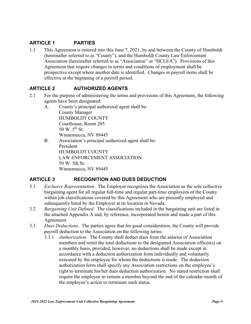## <span id="page-4-0"></span>**ARTICLE 1 PARTIES**

1.1 This Agreement is entered into this June 7, 2021, by and between the County of Humboldt (hereinafter referred to as "County"), and the Humboldt County Law Enforcement Association (hereinafter referred to as "Association" or "HCLEA"). Provisions of this Agreement that require changes in terms and conditions of employment shall be prospective except where another date is identified. Changes in payroll items shall be effective at the beginning of a payroll period.

## <span id="page-4-1"></span>**ARTICLE 2 AUTHORIZED AGENTS**

- 2.1 For the purpose of administering the terms and provisions of this Agreement, the following agents have been designated:
	- A. County's principal authorized agent shall be: County Manager HUMBOLDT COUNTY Courthouse, Room 205 50 W.  $5^{th}$  St. Winnemucca, NV 89445
	- B. Association's principal authorized agent shall be: President HUMBOLDT COUNTY LAW ENFORCEMENT ASSOCIATION 50 W. 5th St. Winnemucca, NV 89445

## <span id="page-4-2"></span>**ARTICLE 3 RECOGNITION AND DUES DEDUCTION**

- 3.1 *Exclusive Representation*. The Employer recognizes the Association as the sole collective bargaining agent for all regular full-time and regular part-time employees of the County within job classifications covered by this Agreement who are presently employed and subsequently hired by the Employer at its location in Nevada.
- 3.2 *Bargaining Unit Defined*. The classifications included in the bargaining unit are listed in the attached Appendix A and, by reference, incorporated herein and made a part of this Agreement.
- 3.3 *Dues Deductions*. The parties agree that for good consideration, the County will provide payroll deduction to the Association on the following terms:
	- 3.3.1 *Authorization.* The County shall deduct dues from the salaries of Association members and remit the total deductions to the designated Association officer(s) on a monthly basis, provided, however, no deductions shall be made except in accordance with a deduction authorization form individually and voluntarily executed by the employee for whom the deductions is made. The deduction authorization form shall specify any Association restrictions on the employee's right to terminate his/her dues deduction authorization. No stated restriction shall require the employee to remain a member beyond the end of the calendar month of the employee's action to terminate such status.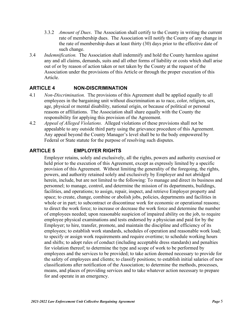- 3.3.2 *Amount of Dues*. The Association shall certify to the County in writing the current rate of membership dues. The Association will notify the County of any change in the rate of membership dues at least thirty (30) days prior to the effective date of such change.
- 3.4 *Indemnification.* The Association shall indemnify and hold the County harmless against any and all claims, demands, suits and all other forms of liability or costs which shall arise out of or by reason of action taken or not taken by the County at the request of the Association under the provisions of this Article or through the proper execution of this Article.

## <span id="page-5-0"></span>**ARTICLE 4 NON-DISCRIMINATION**

- 4.1 *Non-Discrimination.* The provisions of this Agreement shall be applied equally to all employees in the bargaining unit without discrimination as to race, color, religion, sex, age, physical or mental disability, national origin, or because of political or personal reasons or affiliations. The Association shall share equally with the County the responsibility for applying this provision of the Agreement.
- 4.2 *Appeal of Alleged Violations.* Alleged violations of these provisions shall not be appealable to any outside third party using the grievance procedure of this Agreement. Any appeal beyond the County Manager's level shall be to the body empowered by Federal or State statute for the purpose of resolving such disputes.

## <span id="page-5-1"></span>**ARTICLE 5 EMPLOYER RIGHTS**

Employer retains, solely and exclusively, all the rights, powers and authority exercised or held prior to the execution of this Agreement, except as expressly limited by a specific provision of this Agreement. Without limiting the generality of the foregoing, the rights, powers, and authority retained solely and exclusively by Employer and not abridged herein, include, but are not limited to the following: To manage and direct its business and personnel; to manage, control, and determine the mission of its departments, buildings, facilities, and operations; to assign, repair, inspect, and retrieve Employer property and space; to create, change, combine or abolish jobs, policies, departments and facilities in whole or in part; to subcontract or discontinue work for economic or operational reasons; to direct the work force; to increase or decrease the work force and determine the number of employees needed; upon reasonable suspicion of impaired ability on the job, to require employee physical examinations and tests endorsed by a physician and paid for by the Employer; to hire, transfer, promote, and maintain the discipline and efficiency of its employees; to establish work standards, schedules of operation and reasonable work load; to specify or assign work requirements and require overtime; to schedule working hours and shifts; to adopt rules of conduct (including acceptable dress standards) and penalties for violation thereof; to determine the type and scope of work to be performed by employees and the services to be provided; to take action deemed necessary to provide for the safety of employees and clients; to classify positions; to establish initial salaries of new classifications after notification of the Association; to determine the methods, processes, means, and places of providing services and to take whatever action necessary to prepare for and operate in an emergency.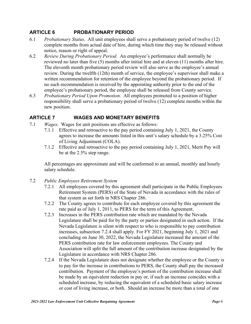## <span id="page-6-0"></span>**ARTICLE 6 PROBATIONARY PERIOD**

- 6.1 *Probationary Status*. All unit employees shall serve a probationary period of twelve (12) complete months from actual date of hire, during which time they may be released without notice, reason or right of appeal.
- 6.2 *Review During Probationary Period*. An employee's performance shall normally be reviewed no later than five (5) months after initial hire and at eleven (11) months after hire. The eleventh month probationary period review will also serve as the employee's annual review. During the twelfth (12th) month of service, the employee's supervisor shall make a written recommendation for retention of the employee beyond the probationary period. If no such recommendation is received by the appointing authority prior to the end of the employee's probationary period, the employee shall be released from County service.
- 6.3 *Probationary Period Upon Promotion*. All employees promoted to a position of higher responsibility shall serve a probationary period of twelve (12) complete months within the new position.

## <span id="page-6-1"></span>**ARTICLE 7 WAGES AND MONETARY BENEFITS**

- 7.1 *Wages*. Wages for unit positions are effective as follows:
	- 7.1.1 Effective and retroactive to the pay period containing July 1, 2021, the County agrees to increase the amounts listed in this unit's salary schedule by a 3.25% Cost of Living Adjustment (COLA).
	- 7.1.2 Effective and retroactive to the pay period containing July 1, 2021, Merit Pay will be at the 2.5% step range.

All percentages are approximate and will be conformed to an annual, monthly and hourly salary schedule.

- 7.2 *Public Employees Retirement System*
	- 7.2.1 All employees covered by this agreement shall participate in the Public Employees Retirement System (PERS) of the State of Nevada in accordance with the rules of that system as set forth in NRS Chapter 286.
	- 7.2.2 The County agrees to contribute for each employee covered by this agreement the rate paid as of July 1, 2011, to PERS for the term of this Agreement.
	- 7.2.3 Increases in the PERS contribution rate which are mandated by the Nevada Legislature shall be paid for by the party or parties designated in such action. If the Nevada Legislature is silent with respect to who is responsible to pay contribution increases, subsection 7.2.4 shall apply. For FY 2021, beginning July 1, 2021 and concluding on June 30, 2022, the Nevada Legislature increased the amount of the PERS contribution rate for law enforcement employees. The County and Association will split the full amount of the contribution increase designated by the Legislature in accordance with NRS Chapter 286.
	- 7.2.4 If the Nevada Legislature does not designate whether the employee or the County is to pay for the increase in contributions to PERS, the County shall pay the increased contribution. Payment of the employee's portion of the contribution increase shall be made by an equivalent reduction in pay or, if such an increase coincides with a scheduled increase, by reducing the equivalent of a scheduled basic salary increase or cost of living increase, or both. Should an increase be more than a total of one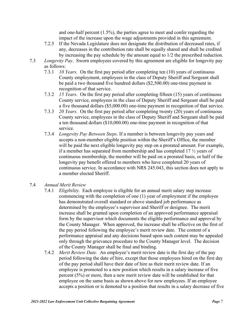and one-half percent (1.5%), the parties agree to meet and confer regarding the impact of the increase upon the wage adjustments provided in this agreement.

- 7.2.5 If the Nevada Legislature does not designate the distribution of decreased rates, if any, decreases in the contribution rate shall be equally shared and shall be credited by increasing the pay schedule by the amount equal to 1/2 the prescribed reduction.
- 7.3 *Longevity Pay*. Sworn employees covered by this agreement are eligible for longevity pay as follows:
	- 7.3.1 *10 Years.* On the first pay period after completing ten (10) years of continuous County employment, employees in the class of Deputy Sheriff and Sergeant shall be paid a two thousand five hundred dollars (\$2,500.00) one-time payment in recognition of that service.
	- 7.3.2 *15 Years.* On the first pay period after completing fifteen (15) years of continuous County service, employees in the class of Deputy Sheriff and Sergeant shall be paid a five thousand dollars (\$5,000.00) one-time payment in recognition of that service.
	- 7.3.3 *20 Years.* On the first pay period after completing twenty (20) years of continuous County service, employees in the class of Deputy Sheriff and Sergeant shall be paid a ten thousand dollars (\$10,000.00) one-time payment in recognition of that service.
	- 7.3.4 *Longevity Pay Between Steps*. If a member is between longevity pay years and accepts a non-member eligible position within the Sheriff's Office, the member will be paid the next eligible longevity pay step on a prorated amount. For example, if a member has separated from membership and has completed  $17\frac{1}{2}$  years of continuous membership, the member will be paid on a prorated basis, or half of the longevity pay benefit offered to members who have completed 20 years of continuous service. In accordance with NRS 245.043, this section does not apply to a member elected Sheriff.
- 7.4 *Annual Merit Review*
	- 7.4.1 *Eligibility.* Each employee is eligible for an annual merit salary step increase commencing with the completion of one (1) year of employment if the employee has demonstrated overall standard or above standard job performance as determined by the employee's supervisor and Sheriff or designee. The merit increase shall be granted upon completion of an approved performance appraisal form by the supervisor which documents the eligible performance and approval by the County Manager. When approved, the increase shall be effective on the first of the pay period following the employee's merit review date. The content of a performance appraisal and any decisions based upon such content may be appealed only through the grievance procedure to the County Manager level. The decision of the County Manager shall be final and binding.
	- 7.4.2 *Merit Review Date.* An employee's merit review date is the first day of the pay period following the date of hire, except that those employees hired on the first day of the pay period shall have their date of hire as their merit review date. If an employee is promoted to a new position which results in a salary increase of five percent (5%) or more, then a new merit review date will be established for that employee on the same basis as shown above for new employees. If an employee accepts a position or is demoted to a position that results in a salary decrease of five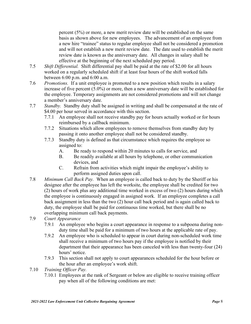percent (5%) or more, a new merit review date will be established on the same basis as shown above for new employees. The advancement of an employee from a new hire "trainee" status to regular employee shall not be considered a promotion and will not establish a new merit review date. The date used to establish the merit review date is known as the anniversary date. All changes in salary shall be effective at the beginning of the next scheduled pay period.

- 7.5 *Shift Differential.* Shift differential pay shall be paid at the rate of \$2.00 for all hours worked on a regularly scheduled shift if at least four hours of the shift worked falls between 6:00 p.m. and 6:00 a.m.
- 7.6 *Promotions.* If a unit employee is promoted to a new position which results in a salary increase of five percent (5.0%) or more, then a new anniversary date will be established for the employee. Temporary assignments are not considered promotions and will not change a member's anniversary date.
- 7.7 *Standby.* Standby duty shall be assigned in writing and shall be compensated at the rate of \$4.00 per hour served in accordance with this section.
	- 7.7.1 An employee shall not receive standby pay for hours actually worked or for hours reimbursed by a callback minimum.
	- 7.7.2 Situations which allow employees to remove themselves from standby duty by passing it onto another employee shall not be considered standby.
	- 7.7.3 Standby duty is defined as that circumstance which requires the employee so assigned to:
		- A. Be ready to respond within 20 minutes to calls for service, and
		- B. Be readily available at all hours by telephone, or other communication devices, and
		- C. Refrain from activities which might impair the employee's ability to perform assigned duties upon call.
- 7.8 *Minimum Call Back Pay.* When an employee is called back to duty by the Sheriff or his designee after the employee has left the worksite, the employee shall be credited for two (2) hours of work plus any additional time worked in excess of two (2) hours during which the employee is continuously engaged in assigned work. If an employee completes a call back assignment in less than the two (2) hour call back period and is again called back to duty, the employee shall be paid for continuous time worked, but there shall be no overlapping minimum call back payments.
- 7.9 *Court Appearance*
	- 7.9.1 An employee who begins a court appearance in response to a subpoena during nonduty time shall be paid for a minimum of two hours at the applicable rate of pay.
	- 7.9.2 An employee who is scheduled to appear in court during non-scheduled work time shall receive a minimum of two hours pay if the employee is notified by their department that their appearance has been canceled with less than twenty-four (24) hours' notice.
	- 7.9.3 This section shall not apply to court appearances scheduled for the hour before or the hour after an employee's work shift.
- 7.10 *Training Officer Pay.*
	- 7.10.1 Employees at the rank of Sergeant or below are eligible to receive training officer pay when all of the following conditions are met: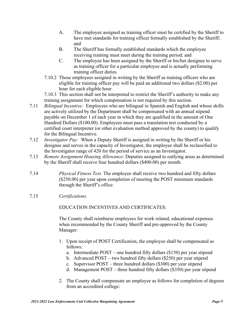- A. The employee assigned as training officer must be certified by the Sheriff to have met standards for training officer formally established by the Sheriff; and
- B. The Sheriff has formally established standards which the employee receiving training must meet during the training period; and
- C. The employee has been assigned by the Sheriff or his/her designee to serve as training officer for a particular employee and is actually performing training officer duties.
- 7.10.2 Those employees assigned in writing by the Sheriff as training officers who are eligible for training officer pay will be paid an additional two dollars (\$2.00) per hour for each eligible hour.

7.10.3 This section shall not be interpreted to restrict the Sheriff's authority to make any training assignment for which compensation is not required by this section.

- 7.11 *Bilingual Incentive:* Employees who are bilingual in Spanish and English and whose skills are actively utilized by the Department shall be compensated with an annual stipend payable on December 1 of each year in which they are qualified in the amount of One Hundred Dollars (\$100.00). Employees must pass a translation test conducted by a certified court interpreter (or other evaluation method approved by the county) to qualify for the Bilingual Incentive.
- 7.12 *Investigator Pay:* When a Deputy Sheriff is assigned in writing by the Sheriff or his designee and serves in the capacity of Investigator, the employee shall be reclassified to the Investigator range of 420 for the period of service as an Investigator.
- 7.13 *Remote Assignment Housing Allowance*: Deputies assigned to outlying areas as determined by the Sheriff shall receive four hundred dollars (\$400.00) per month.
- 7.14 *Physical Fitness Test.* The employee shall receive two hundred and fifty dollars (\$250.00) per year upon completion of meeting the POST minimum standards through the Sheriff's office.
- 7.15 *Certifications.*

EDUCATION INCENTIVES AND CERTIFICATES:

The County shall reimburse employees for work related, educational expenses when recommended by the County Sheriff and pre-approved by the County Manager:

- 1. Upon receipt of POST Certification, the employee shall be compensated as follows:
	- a. Intermediate POST one hundred fifty dollars (\$150) per year stipend
	- b. Advanced POST two hundred fifty dollars (\$250) per year stipend
	- c. Supervisor POST three hundred dollars (\$300) per year stipend
	- d. Management POST three hundred fifty dollars (\$350) per year stipend
- 2. The County shall compensate an employee as follows for completion of degrees from an accredited college: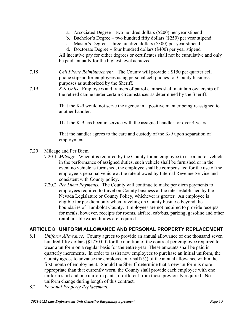- a. Associated Degree two hundred dollars (\$200) per year stipend
- b. Bachelor's Degree two hundred fifty dollars (\$250) per year stipend
- c. Master's Degree three hundred dollars (\$300) per year stipend
- d. Doctorate Degree four hundred dollars (\$400) per year stipend

All incentive pay for either degrees or certificates shall not be cumulative and only be paid annually for the highest level achieved.

- 7.18 *Cell Phone Reimbursement.* The County will provide a \$150 per quarter cell phone stipend for employees using personal cell phones for County business purposes as authorized by the Sheriff.
- 7.19 *K-9 Units.* Employees and trainers of patrol canines shall maintain ownership of the retired canine under certain circumstances as determined by the Sheriff:

That the K-9 would not serve the agency in a positive manner being reassigned to another handler.

That the K-9 has been in service with the assigned handler for over 4 years

That the handler agrees to the care and custody of the K-9 upon separation of employment.

- 7.20 Mileage and Per Diem
	- 7.20.1 *Mileage.* When it is required by the County for an employee to use a motor vehicle in the performance of assigned duties, such vehicle shall be furnished or in the event no vehicle is furnished, the employee shall be compensated for the use of the employee's personal vehicle at the rate allowed by Internal Revenue Service and consistent with County policy.
	- 7.20.2 *Per Diem Payments.* The County will continue to make per diem payments to employees required to travel on County business at the rates established by the Nevada Legislature or County Policy, whichever is greater. An employee is eligible for per diem only when traveling on County business beyond the boundaries of Humboldt County. Employees are not required to provide receipts for meals; however, receipts for rooms, airfare, cab/bus, parking, gasoline and other reimbursable expenditures are required.

## <span id="page-10-0"></span>**ARTICLE 8 UNIFORM ALLOWANCE AND PERSONAL PROPERTY REPLACEMENT**

- 8.1 *Uniform Allowance*. County agrees to provide an annual allowance of one thousand seven hundred fifty dollars (\$1750.00) for the duration of the contract per employee required to wear a uniform on a regular basis for the entire year. These amounts shall be paid in quarterly increments. In order to assist new employees to purchase an initial uniform, the County agrees to advance the employee one-half  $(\frac{1}{2})$  of the annual allowance within the first month of employment. Should the Sheriff determine that a new uniform is more appropriate than that currently worn, the County shall provide each employee with one uniform shirt and one uniform pants, if different from those previously required. No uniform change during length of this contract.
- 8.2 *Personal Property Replacement.*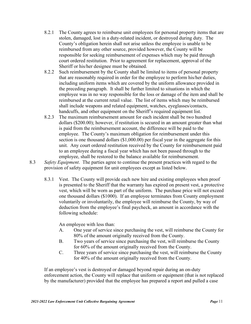- 8.2.1 The County agrees to reimburse unit employees for personal property items that are stolen, damaged, lost in a duty-related incident, or destroyed during duty. The County's obligation herein shall not arise unless the employee is unable to be reimbursed from any other source, provided however, the County will be responsible for seeking reimbursement of expenses which may be paid through court ordered restitution. Prior to agreement for replacement, approval of the Sheriff or his/her designee must be obtained.
- 8.2.2 Such reimbursement by the County shall be limited to items of personal property that are reasonably required in order for the employee to perform his/her duties, including uniform items which are covered by the uniform allowance provided in the preceding paragraph. It shall be further limited to situations in which the employee was in no way responsible for the loss or damage of the item and shall be reimbursed at the current retail value. The list of items which may be reimbursed shall include weapons and related equipment, watches, eyeglasses/contacts, handcuffs, and other equipment on the Sheriff's required equipment list.
- 8.2.3 The maximum reimbursement amount for each incident shall be two hundred dollars (\$200.00); however, if restitution is secured in an amount greater than what is paid from the reimbursement account, the difference will be paid to the employee. The County's maximum obligation for reimbursement under this section is one thousand dollars (\$1,000.00) per fiscal year in the aggregate for this unit. Any court ordered restitution received by the County for reimbursement paid to an employee during a fiscal year which has not been passed through to the employee, shall be restored to the balance available for reimbursement.
- 8.3 *Safety Equipment*. The parties agree to continue the present practices with regard to the provision of safety equipment for unit employees except as listed below.
	- 8.3.1 Vest. The County will provide each new hire and existing employees when proof is presented to the Sheriff that the warranty has expired on present vest, a protective vest, which will be worn as part of the uniform. The purchase price will not exceed one thousand dollars (\$1000). If an employee terminates from County employment voluntarily or involuntarily, the employee will reimburse the County, by way of deduction from the employee's final paycheck, an amount in accordance with the following schedule:

An employee with less than:

- A. One year of service since purchasing the vest, will reimburse the County for 80% of the amount originally received from the County.
- B. Two years of service since purchasing the vest, will reimburse the County for 60% of the amount originally received from the County.
- C. Three years of service since purchasing the vest, will reimburse the County for 40% of the amount originally received from the County.

If an employee's vest is destroyed or damaged beyond repair during an on-duty enforcement action, the County will replace that uniform or equipment (that is not replaced by the manufacturer) provided that the employee has prepared a report and pulled a case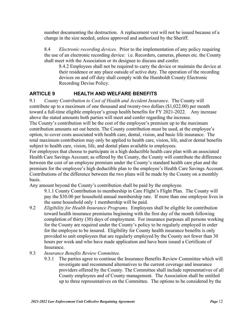number documenting the destruction. A replacement vest will not be issued because of a change in the size needed, unless approved and authorized by the Sheriff.

8.4 *Electronic recording devices.* Prior to the implementation of any policy requiring the use of an electronic recording device: i.e. Recorders, cameras, phones etc. the County shall meet with the Association or its designee to discuss and confer.

8.4.2 Employees shall not be required to carry the device or maintain the device at their residence or any place outside of active duty. The operation of the recording devices on and off duty shall comply with the Humboldt County Electronic Recording Devise Policy.

## <span id="page-12-0"></span>**ARTICLE 9 HEALTH AND WELFARE BENEFITS**

9.1 *County Contribution to Cost of Health and Accident Insurance.* The County will contribute up to a maximum of one thousand and twenty-two dollars (\$1,022.00) per month toward a full-time eligible employee's group health benefits for FY 2021-2022. Any increase above the stated amounts both parties will meet and confer regarding the increase.

The County's contribution will be the cost of the employee's premium up to the maximum contribution amounts set out herein. The County contribution must be used, at the employee's option, to cover costs associated with health care, dental, vision, and basic life insurance. The total maximum contribution may only be applied to health care, vision, life, and/or dental benefits subject to health care, vision, life, and dental plans available to employees.

For employees that choose to participate in a high deductible health care plan with an associated Health Care Savings Account; as offered by the County, the County will contribute the difference between the cost of an employee premium under the County's standard health care plan and the premium for the employee's high deductible plan to the employee's Health Care Savings Account. Contributions of the difference between the two plans will be made by the County on a monthly basis.

Any amount beyond the County's contribution shall be paid by the employee.

9.1.1 County Contribution to membership in Care Flight's Flight Plan. The County will pay the \$30.00 per household annual membership rate. If more than one employee lives in the same household only 1 membership will be paid.

- 9.2 *Eligibility for Health Insurance Programs.* Employees shall be eligible for contribution toward health insurance premiums beginning with the first day of the month following completion of thirty (30) days of employment. For insurance purposes all persons working for the County are required under the County's policy to be regularly employed in order for the employee to be insured. Eligibility for County health insurance benefits is only provided to unit employees that are regularly employed by the County not fewer than 30 hours per week and who have made application and have been issued a Certificate of Insurance.
- 9.3 *Insurance Benefits Review Committee.*
	- 9.3.1 The parties agree to continue the Insurance Benefits Review Committee which will investigate and recommend alternatives to the current coverage and insurance providers offered by the County. The Committee shall include representatives of all County employees and of County management. The Association shall be entitled up to three representatives on the Committee. The options to be considered by the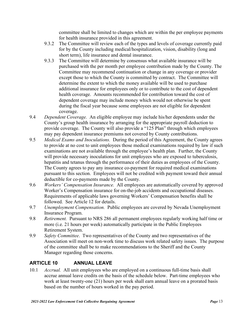committee shall be limited to changes which are within the per employee payments for health insurance provided in this agreement.

- 9.3.2 The Committee will review each of the types and levels of coverage currently paid for by the County including medical/hospitalization, vision, disability (long and short term), life insurance and dental insurance.
- 9.3.3 The Committee will determine by consensus what available insurance will be purchased with the per month per employee contribution made by the County. The Committee may recommend continuation or change in any coverage or provider except those to which the County is committed by contract. The Committee will determine the extent to which the money available will be used to purchase additional insurance for employees only or to contribute to the cost of dependent health coverage. Amounts recommended for contribution toward the cost of dependent coverage may include money which would not otherwise be spent during the fiscal year because some employees are not eligible for dependent coverage.
- 9.4 *Dependent Coverage.* An eligible employee may include his/her dependents under the County's group health insurance by arranging for the appropriate payroll deduction to provide coverage. The County will also provide a "125 Plan" through which employees may pay dependent insurance premiums not covered by County contributions.
- 9.5 *Medical Exams and Inoculations.* During the period of this Agreement, the County agrees to provide at no cost to unit employees those medical examinations required by law if such examinations are not available through the employee's health plan. Further, the County will provide necessary inoculations for unit employees who are exposed to tuberculosis, hepatitis and tetanus through the performance of their duties as employees of the County. The County agrees to pay any insurance co-payment for required medical examinations pursuant to this section. Employees will not be credited with payment toward their annual deductible for co-payments made by the County.
- 9.6 *Workers' Compensation Insurance.* All employees are automatically covered by approved Worker's Compensation insurance for on-the-job accidents and occupational diseases. Requirements of applicable laws governing Workers' Compensation benefits shall be followed. See Article 12 for details.
- 9.7 *Unemployment Compensation.* Public employees are covered by Nevada Unemployment Insurance Program.
- 9.8 *Retirement.* Pursuant to NRS 286 all permanent employees regularly working half time or more (i.e. 21 hours per week) automatically participate in the Public Employees Retirement System.
- 9.9 *Safety Committee*. Two representatives of the County and two representatives of the Association will meet on non-work time to discuss work related safety issues. The purpose of the committee shall be to make recommendations to the Sheriff and the County Manager regarding those concerns.

## <span id="page-13-0"></span>**ARTICLE 10 ANNUAL LEAVE**

10.1 *Accrual.* All unit employees who are employed on a continuous full-time basis shall accrue annual leave credits on the basis of the schedule below. Part-time employees who work at least twenty-one (21) hours per week shall earn annual leave on a prorated basis based on the number of hours worked in the pay period.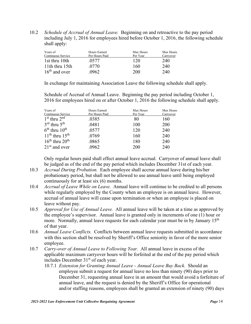10.2 *Schedule of Accrual of Annual Leave.* Beginning on and retroactive to the pay period including July 1, 2016 for employees hired before October 1, 2016, the following schedule shall apply:

| Years of           | Hours Earned   | Max Hours  | Max Hours |
|--------------------|----------------|------------|-----------|
| Continuous Service | Per Hours Paid | Per Year   | Carryover |
| 1st thru 10th      | .0577          | 120        | 240       |
| 11th thru 15th     | .0770          | 160        | 240       |
| $16th$ and over    | .0962          | <b>200</b> | 240       |

In exchange for maintaining Association Leave the following schedule shall apply.

Schedule of Accrual of Annual Leave. Beginning the pay period including October 1, 2016 for employees hired on or after October 1, 2016 the following schedule shall apply.

| Years of<br>Continuous Service         | Hours Earned<br>Per Hours Paid | Max Hours<br>Per Year | Max Hours<br>Carryover |
|----------------------------------------|--------------------------------|-----------------------|------------------------|
| $1st$ thru $2nd$                       | .0385                          | 80                    | 160                    |
| $3^{\text{rd}}$ thru $5^{\text{th}}$   | .0481                          | 100                   | <b>200</b>             |
| $6^{\text{th}}$ thru $10^{\text{th}}$  | .0577                          | 120                   | 240                    |
| $11th$ thru $15th$                     | .0769                          | 160                   | 240                    |
| $16^{\text{th}}$ thru $20^{\text{th}}$ | .0865                          | 180                   | 240                    |
| $21st$ and over                        | .0962                          | <b>200</b>            | 240                    |

Only regular hours paid shall effect annual leave accrual. Carryover of annual leave shall be judged as of the end of the pay period which includes December 31st of each year.

- 10.3 *Accrual During Probation.* Each employee shall accrue annual leave during his/her probationary period, but shall not be allowed to use annual leave until being employed continuously for at least six (6) months.
- 10.4 *Accrual of Leave While on Leave.* Annual leave will continue to be credited to all persons while regularly employed by the County when an employee is on annual leave. However, accrual of annual leave will cease upon termination or when an employee is placed on leave without pay.
- 10.5 *Approval for Use of Annual Leave.* All annual leave will be taken at a time as approved by the employee's supervisor. Annual leave is granted only in increments of one (1) hour or more. Normally, annual leave requests for each calendar year must be in by January 15<sup>th</sup> of that year.
- 10.6 *Annual Leave Conflicts.* Conflicts between annual leave requests submitted in accordance with this section shall be resolved by Sheriff's Office seniority in favor of the more senior employee.
- 10.7 *Carry-over of Annual Leave to Following Year.* All annual leave in excess of the applicable maximum carryover hours will be forfeited at the end of the pay period which includes December 31<sup>st</sup> of each year.
	- 10.7.1 *Extension for Granting Annual Leave - Annual Leave Buy Back.* Should an employee submit a request for annual leave no less than ninety (90) days prior to December 31, requesting annual leave in an amount that would avoid a forfeiture of annual leave, and the request is denied by the Sheriff's Office for operational and/or staffing reasons, employees shall be granted an extension of ninety (90) days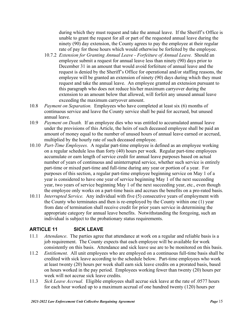during which they must request and take the annual leave. If the Sheriff's Office is unable to grant the request for all or part of the requested annual leave during the ninety (90) day extension, the County agrees to pay the employee at their regular rate of pay for those hours which would otherwise be forfeited by the employee.

- 10.7.2 *Extension for Granting Annual Leave - Forfeiture of Annual Leave.* Should an employee submit a request for annual leave less than ninety (90) days prior to December 31 in an amount that would avoid forfeiture of annual leave and the request is denied by the Sheriff's Office for operational and/or staffing reasons, the employee will be granted an extension of ninety (90) days during which they must request and take the annual leave. An employee granted an extension pursuant to this paragraph who does not reduce his/her maximum carryover during the extension to an amount below that allowed, will forfeit any unused annual leave exceeding the maximum carryover amount.
- 10.8 *Payment on Separation.* Employees who have completed at least six (6) months of continuous service and leave the County service shall be paid for accrued, but unused annual leave.
- 10.9 *Payment on Death.* If an employee dies who was entitled to accumulated annual leave under the provisions of this Article, the heirs of such deceased employee shall be paid an amount of money equal to the number of unused hours of annual leave earned or accrued, multiplied by the hourly rate of such deceased employee.
- 10.10 *Part-Time Employees.* A regular part-time employee is defined as an employee working on a regular schedule less than forty (40) hours per week. Regular part-time employees accumulate or earn length of service credit for annual leave purposes based on actual number of years of continuous and uninterrupted service, whether such service is entirely part-time or mixed part-time and full-time during any year or portion of a year. For purposes of this section, a regular part-time employee beginning service on May 1 of a year is considered to have one year of service beginning May 1 of the next succeeding year, two years of service beginning May 1 of the next succeeding year, etc., even though the employee only works on a part-time basis and accrues the benefits on a pro-rated basis.
- 10.11 *Interrupted Service.* Any individual with five (5) consecutive years of employment with the County who terminates and then is re-employed by the County within one (1) year from date of termination shall receive credit for prior years service in determining the appropriate category for annual leave benefits. Notwithstanding the foregoing, such an individual is subject to the probationary status requirements.

## <span id="page-15-0"></span>**ARTICLE 11 SICK LEAVE**

- 11.1 *Attendance*. The parties agree that attendance at work on a regular and reliable basis is a job requirement. The County expects that each employee will be available for work consistently on this basis. Attendance and sick leave use are to be monitored on this basis.
- 11.2 *Entitlement.* All unit employees who are employed on a continuous full-time basis shall be credited with sick leave according to the schedule below. Part-time employees who work at least twenty (20) hours per week shall earn sick leave credits on a prorated basis, based on hours worked in the pay period. Employees working fewer than twenty (20) hours per week will not accrue sick leave credits.
- 11.3 *Sick Leave Accrual.* Eligible employees shall accrue sick leave at the rate of .0577 hours for each hour worked up to a maximum accrual of one hundred twenty (120) hours per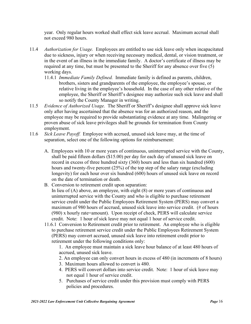year. Only regular hours worked shall effect sick leave accrual. Maximum accrual shall not exceed 980 hours.

- 11.4 *Authorization for Usage.* Employees are entitled to use sick leave only when incapacitated due to sickness, injury or when receiving necessary medical, dental, or vision treatment, or in the event of an illness in the immediate family. A doctor's certificate of illness may be required at any time, but must be presented to the Sheriff for any absence over five (5) working days.
	- 11.4.1 *Immediate Family Defined.* Immediate family is defined as parents, children, brothers, sisters and grandparents of the employee, the employee's spouse, or relative living in the employee's household. In the case of any other relative of the employee, the Sheriff or Sheriff's designee may authorize such sick leave and shall so notify the County Manager in writing.
- 11.5 *Evidence of Authorized Usage.* The Sheriff or Sheriff's designee shall approve sick leave only after having ascertained that the absence was for an authorized reason, and the employee may be required to provide substantiating evidence at any time. Malingering or proven abuse of sick leave privileges shall be grounds for termination from County employment.
- 11.6 *Sick Leave Payoff.* Employee with accrued, unused sick leave may, at the time of separation, select one of the following options for reimbursement:
	- A. Employees with 10 or more years of continuous, uninterrupted service with the County, shall be paid fifteen dollars (\$15.00) per day for each day of unused sick leave on record in excess of three hundred sixty (360) hours and less than six hundred (600) hours and twenty-five percent (25%) of the top step of the salary range (excluding longevity) for each hour over six hundred (600) hours of unused sick leave on record on the date of termination or death.
	- B. Conversion to retirement credit upon separation: In lieu of (A) above, an employee, with eight (8) or more years of continuous and uninterrupted service with the County and who is eligible to purchase retirement service credit under the Public Employees Retirement System (PERS) may convert a maximum of 980 hours of accrued, unused sick leave into service credit. (# of hours (980) x hourly rate=amount). Upon receipt of check, PERS will calculate service credit. Note: 1 hour of sick leave may not equal 1 hour of service credit.
	- 11.6.1 Conversion to Retirement credit prior to retirement. An employee who is eligible to purchase retirement service credit under the Public Employees Retirement System (PERS) may convert accrued, unused sick leave into retirement credit prior to retirement under the following conditions only:

1. An employee must maintain a sick leave hour balance of at least 480 hours of accrued, unused sick leave.

- 2. An employee can only convert hours in excess of 480 (in increments of 8 hours)
- 3. Maximum hours allowed to convert is 480.
- 4. PERS will convert dollars into service credit. Note: 1 hour of sick leave may not equal 1 hour of service credit.
- 5. Purchases of service credit under this provision must comply with PERS policies and procedures.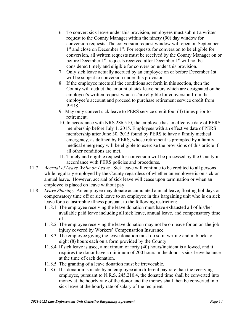- 6. To convert sick leave under this provision, employees must submit a written request to the County Manager within the ninety (90) day window for conversion requests. The conversion request window will open on September  $1<sup>st</sup>$  and close on December  $1<sup>st</sup>$ . For requests for conversion to be eligible for conversion, all written requests must be received by the County Manager on or before December 1<sup>st</sup>, requests received after December 1<sup>st</sup> will not be considered timely and eligible for conversion under this provision.
- 7. Only sick leave actually accrued by an employee on or before December 1st will be subject to conversion under this provision.
- 8. If the employee meets all the conditions set forth in this section, then the County will deduct the amount of sick leave hours which are designated on he employee's written request which is/are eligible for conversion from the employee's account and proceed to purchase retirement service credit from PERS.
- 9. May only convert sick leave to PERS service credit four (4) times prior to retirement.
- 10. In accordance with NRS 286.510, the employee has an effective date of PERS membership before July 1, 2015. Employees with an effective date of PERS membership after June 30, 2015 found by PERS to have a family medical emergency, as defined by PERS, whose retirement is prompted by a family medical emergency will be eligible to exercise the provisions of this article if all other conditions are met.
- 11. Timely and eligible request for conversion will be processed by the County in accordance with PERS policies and procedures.
- 11.7 *Accrual of Leave While on Leave.* Sick leave will continue to be credited to all persons while regularly employed by the County regardless of whether an employee is on sick or annual leave. However, accrual of sick leave will cease upon termination or when an employee is placed on leave without pay.
- 11.8 *Leave Sharing*. An employee may donate accumulated annual leave, floating holidays or compensatory time off or sick leave to an employee in this bargaining unit who is on sick leave for a catastrophic illness pursuant to the following restriction:
	- 11.8.1 The employee receiving the leave donation must have exhausted all of his/her available paid leave including all sick leave, annual leave, and compensatory time off.
	- 11.8.2 The employee receiving the leave donation may not be on leave for an on-the-job injury covered by Workers' Compensation Insurance.
	- 11.8.3 The employee giving the leave donation must do so in writing and in blocks of eight (8) hours each on a form provided by the County.
	- 11.8.4 If sick leave is used, a maximum of forty (40) hours/incident is allowed, and it requires the donor have a minimum of 200 hours in the donor's sick leave balance at the time of each donation.
	- 11.8.5 The granting of a leave donation must be irrevocable.
	- 11.8.6 If a donation is made by an employee at a different pay rate than the receiving employee, pursuant to N.R.S. 245.210.4, the donated time shall be converted into money at the hourly rate of the donor and the money shall then be converted into sick leave at the hourly rate of salary of the recipient.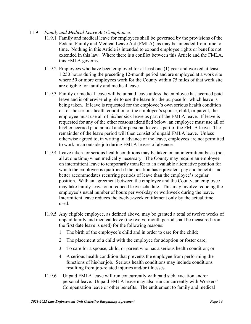- 11.9 *Family and Medical Leave Act Compliance.*
	- 11.9.1 Family and medical leave for employees shall be governed by the provisions of the Federal Family and Medical Leave Act (FMLA), as may be amended from time to time. Nothing in this Article is intended to expand employee rights or benefits not extended in this law. Where there is a conflict between this Article and the FMLA, this FMLA governs.
	- 11.9.2 Employees who have been employed for at least one (1) year and worked at least 1,250 hours during the preceding 12-month period and are employed at a work site where 50 or more employees work for the County within 75 miles of that work site are eligible for family and medical leave.
	- 11.9.3 Family or medical leave will be unpaid leave unless the employee has accrued paid leave and is otherwise eligible to use the leave for the purpose for which leave is being taken. If leave is requested for the employee's own serious health condition or for the serious health condition of the employee's spouse, child, or parent, the employee must use all of his/her sick leave as part of the FMLA leave. If leave is requested for any of the other reasons identified below, an employee must use all of his/her accrued paid annual and/or personal leave as part of the FMLA leave. The remainder of the leave period will then consist of unpaid FMLA leave. Unless otherwise agreed to, in writing in advance of the leave, employees are not permitted to work in an outside job during FMLA leaves of absence.
	- 11.9.4 Leave taken for serious health conditions may be taken on an intermittent basis (not all at one time) when medically necessary. The County may require an employee on intermittent leave to temporarily transfer to an available alternative position for which the employee is qualified if the position has equivalent pay and benefits and better accommodates recurring periods of leave than the employee's regular position. With an agreement between the employee and the County, an employee may take family leave on a reduced leave schedule. This may involve reducing the employee's usual number of hours per workday or workweek during the leave. Intermittent leave reduces the twelve-week entitlement only by the actual time used.
	- 11.9.5 Any eligible employee, as defined above, may be granted a total of twelve weeks of unpaid family and medical leave (the twelve-month period shall be measured from the first date leave is used) for the following reasons:
		- 1. The birth of the employee's child and in order to care for the child;
		- 2. The placement of a child with the employee for adoption or foster care;
		- 3. To care for a spouse, child, or parent who has a serious health condition; or
		- 4. A serious health condition that prevents the employee from performing the functions of his/her job. Serious health conditions may include conditions resulting from job-related injuries and/or illnesses.
	- 11.9.6 Unpaid FMLA leave will run concurrently with paid sick, vacation and/or personal leave. Unpaid FMLA leave may also run concurrently with Workers' Compensation leave or other benefits. The entitlement to family and medical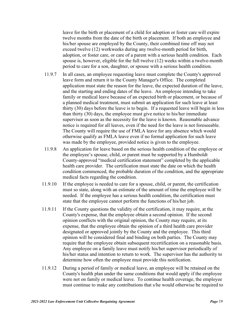leave for the birth or placement of a child for adoption or foster care will expire twelve months from the date of the birth or placement. If both an employee and his/her spouse are employed by the County, their combined time off may not exceed twelve (12) workweeks during any twelve-month period for birth, adoption, or foster care, or care of a parent with a serious health condition. Each spouse is, however, eligible for the full twelve (12) weeks within a twelve-month period to care for a son, daughter, or spouse with a serious health condition.

- 11.9.7 In all cases, an employee requesting leave must complete the County's approved leave form and return it to the County Manager's Office. The completed application must state the reason for the leave, the expected duration of the leave, and the starting and ending dates of the leave. An employee intending to take family or medical leave because of an expected birth or placement, or because of a planned medical treatment, must submit an application for such leave at least thirty (30) days before the leave is to begin. If a requested leave will begin in less than thirty (30) days, the employee must give notice to his/her immediate supervisor as soon as the necessity for the leave is known. Reasonable advance notice is required for all leaves, even if the need for the leave is not foreseeable. The County will require the use of FMLA leave for any absence which would otherwise qualify as FMLA leave even if no formal application for such leave was made by the employee, provided notice is given to the employee.
- 11.9.8 An application for leave based on the serious health condition of the employee or the employee's spouse, child, or parent must be supported by a Humboldt County-approved "medical certification statement" completed by the applicable health care provider. The certification must state the date on which the health condition commenced, the probable duration of the condition, and the appropriate medical facts regarding the condition.
- 11.9.10 If the employee is needed to care for a spouse, child, or parent, the certification must so state, along with an estimate of the amount of time the employee will be needed. If the employee has a serious health condition, the certification must state that the employee cannot perform the functions of his/her job.
- 11.9.11 If the County questions the validity of the certification, it may require, at the County's expense, that the employee obtain a second opinion. If the second opinion conflicts with the original opinion, the County may require, at its expense, that the employee obtain the opinion of a third health care provider designated or approved jointly by the County and the employee. This third opinion will be considered final and binding on both parties. The County may require that the employee obtain subsequent recertification on a reasonable basis. Any employee on a family leave must notify his/her supervisor periodically of his/her status and intention to return to work. The supervisor has the authority to determine how often the employee must provide this notification.
- 11.9.12 During a period of family or medical leave, an employee will be retained on the County's health plan under the same conditions that would apply if the employee were not on family or medical leave. To continue health coverage, the employee must continue to make any contributions that s/he would otherwise be required to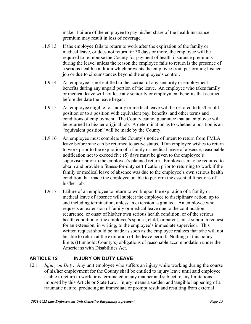make. Failure of the employee to pay his/her share of the health insurance premium may result in loss of coverage.

- 11.9.13 If the employee fails to return to work after the expiration of the family or medical leave, or does not return for 30 days or more, the employee will be required to reimburse the County for payment of health insurance premiums during the leave, unless the reason the employee fails to return is the presence of a serious health condition which prevents the employee from performing his/her job or due to circumstances beyond the employee's control.
- 11.9.14 An employee is not entitled to the accrual of any seniority or employment benefits during any unpaid portion of the leave. An employee who takes family or medical leave will not lose any seniority or employment benefits that accrued before the date the leave began.
- 11.9.15 An employee eligible for family or medical leave will be restored to his/her old position or to a position with equivalent pay, benefits, and other terms and conditions of employment. The County cannot guarantee that an employee will be returned to his/her original job. A determination as to whether a position is an "equivalent position" will be made by the County.
- 11.9.16 An employee must complete the County's notice of intent to return from FMLA leave before s/he can be returned to active status. If an employee wishes to return to work prior to the expiration of a family or medical leave of absence, reasonable notification not to exceed five (5) days must be given to the employee's supervisor prior to the employee's planned return. Employees may be required to obtain and provide a fitness-for-duty certification prior to returning to work if the family or medical leave of absence was due to the employee's own serious health condition that made the employee unable to perform the essential functions of his/her job.
- 11.9.17 Failure of an employee to return to work upon the expiration of a family or medical leave of absence will subject the employee to disciplinary action, up to and including termination, unless an extension is granted. An employee who requests an extension of family or medical leave due to the continuation, recurrence, or onset of his/her own serious health condition, or of the serious health condition of the employee's spouse, child, or parent, must submit a request for an extension, in writing, to the employee's immediate supervisor. This written request should be made as soon as the employee realizes that s/he will not be able to return at the expiration of the leave period. Nothing in this policy limits (Humboldt County's) obligations of reasonable accommodation under the Americans with Disabilities Act.

## <span id="page-20-0"></span>**ARTICLE 12 INJURY ON DUTY LEAVE**

12.1 *Injury on Duty.* Any unit employee who suffers an injury while working during the course of his/her employment for the County shall be entitled to injury leave until said employee is able to return to work or is terminated in any manner and subject to any limitations imposed by this Article or State Law. Injury means a sudden and tangible happening of a traumatic nature, producing an immediate or prompt result and resulting from external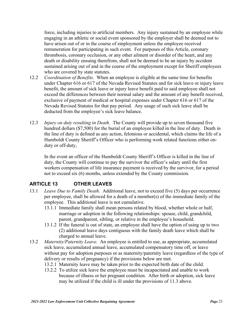force, including injuries to artificial members. Any injury sustained by an employee while engaging in an athletic or social event sponsored by the employer shall be deemed not to have arisen out of or in the course of employment unless the employee received remuneration for participating in such event. For purposes of this Article, coronary thrombosis, coronary occlusion, or any other ailment or disorder of the heart, and any death or disability ensuing therefrom, shall not be deemed to be an injury by accident sustained arising out of and in the course of the employment except for Sheriff employees who are covered by state statutes.

- 12.2 *Coordination of Benefits.* When an employee is eligible at the same time for benefits under Chapter 616 or 617 of the Nevada Revised Statutes and for sick leave or injury leave benefit, the amount of sick leave or injury leave benefit paid to said employee shall not exceed the differences between their normal salary and the amount of any benefit received, exclusive of payment of medical or hospital expenses under Chapter 616 or 617 of the Nevada Revised Statutes for that pay period. Any usage of such sick leave shall be deducted from the employee's sick leave balance.
- 12.3 *Injury on duty resulting in Death.* The County will provide up to seven thousand five hundred dollars (\$7,500) for the burial of an employee killed in the line of duty. Death in the line of duty is defined as any action, felonious or accidental, which claims the life of a Humboldt County Sheriff's Officer who is performing work related functions either onduty or off-duty,

In the event an officer of the Humboldt County Sheriff's Officer is killed in the line of duty, the County will continue to pay the survivor the officer's salary until the first workers compensation of life insurance payment is received by the survivor, for a period not to exceed six (6) months, unless extended by the County commission.

## <span id="page-21-0"></span>**ARTICLE 13 OTHER LEAVES**

- 13.1 *Leave Due to Family Death.* Additional leave, not to exceed five (5) days per occurrence per employee, shall be allowed for a death of a member(s) of the immediate family of the employee. This additional leave is not cumulative.
	- 13.1.1 Immediate family shall mean persons related by blood, whether whole or half, marriage or adoption in the following relationships: spouse, child, grandchild, parent, grandparent, sibling, or relative in the employee's household.
	- 13.1.2 If the funeral is out of state, an employee shall have the option of using up to two (2) additional leave days contiguous with the family death leave which shall be charged to annual leave.
- 13.2 *Maternity/Paternity Leave.* An employee is entitled to use, as appropriate, accumulated sick leave, accumulated annual leave, accumulated compensatory time off, or leave without pay for adoption purposes or as maternity/paternity leave (regardless of the type of delivery or results of pregnancy) if the provisions below are met.
	- 13.2.1 Maternity leave may be taken prior to the expected birth date of the child.
	- 13.2.2 To utilize sick leave the employee must be incapacitated and unable to work because of illness or her pregnant condition. After birth or adoption, sick leave may be utilized if the child is ill under the provisions of 11.3 above.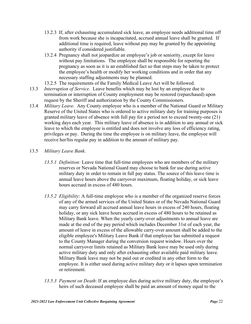- 13.2.3 If, after exhausting accumulated sick leave, an employee needs additional time off from work because she is incapacitated, accrued annual leave shall be granted. If additional time is required, leave without pay may be granted by the appointing authority if considered justifiable.
- 13.2.4 Pregnancy shall not jeopardize an employee's job or seniority, except for leave without pay limitations. The employee shall be responsible for reporting the pregnancy as soon as it is an established fact so that steps may be taken to protect the employee's health or modify her working conditions and in order that any necessary staffing adjustments may be planned.
- 13.2.5 The requirements of the Family Medical Leave Act will be followed.
- 13.3 *Interruption of Service.* Leave benefits which may be lost by an employee due to termination or interruption of County employment may be restored (repurchased) upon request by the Sheriff and authorization by the County Commissioners.
- 13.4 *Military Leave.* Any County employee who is a member of the National Guard or Military Reserve of the United States who is ordered to active military duty for training purposes is granted military leave of absence with full pay for a period not to exceed twenty-one (21) working days each year. This military leave of absence is in addition to any annual or sick leave to which the employee is entitled and does not involve any loss of efficiency rating, privileges or pay. During the time the employee is on military leave, the employee will receive her/his regular pay in addition to the amount of military pay.
- 13.5 *Military Leave Bank*.
	- *13.5.1 Definition:* Leave time that full-time employees who are members of the military reserves or Nevada National Guard may choose to bank for use during active military duty in order to remain in full pay status. The source of this leave time is annual leave hours above the carryover maximum, floating holiday, or sick leave hours accrued in excess of 480 hours.
	- *13.5.2 Eligibility*: A full-time employee who is a member of the organized reserve forces of any of the armed services of the United States or of the Nevada National Guard may carry forward all accrued annual leave hours in excess of 240 hours, floating holiday, or any sick leave hours accrued in excess of 480 hours to be retained as Military Bank leave. When the yearly carry-over adjustments to annual leave are made at the end of the pay period which includes December 31st of each year, the amount of leave in excess of the allowable carry-over amount shall be added to the eligible employee's Military Leave Bank if that employee has submitted a request to the County Manager during the conversion request window. Hours over the normal carryover limits retained as Military Bank leave may be used only during active military duty and only after exhausting other available paid military leave. Military Bank leave may not be paid out or credited in any other form to the employee. It is either used during active military duty or it lapses upon termination or retirement.
	- *13.5.3 Payment on Death*: If an employee dies during active military duty, the employee's heirs of such deceased employee shall be paid an amount of money equal to the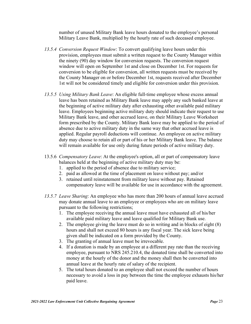number of unused Military Bank leave hours donated to the employee's personal Military Leave Bank, multiplied by the hourly rate of such deceased employee.

- *13.5.4 Conversion Request Window*: To convert qualifying leave hours under this provision, employees must submit a written request to the County Manager within the ninety (90) day window for conversion requests. The conversion request window will open on September 1st and close on December 1st. For requests for conversion to be eligible for conversion, all written requests must be received by the County Manager on or before December 1st, requests received after December 1st will not be considered timely and eligible for conversion under this provision.
- *13.5.5 Using Military Bank Leave*: An eligible full-time employee whose excess annual leave has been retained as Military Bank leave may apply any such banked leave at the beginning of active military duty after exhausting other available paid military leave. Employees beginning active military duty should indicate their request to use Military Bank leave, and other accrued leave, on their Military Leave Worksheet form prescribed by the County. Military Bank leave may be applied to the period of absence due to active military duty in the same way that other accrued leave is applied. Regular payroll deductions will continue. An employee on active military duty may choose to retain all or part of his or her Military Bank leave. The balance will remain available for use only during future periods of active military duty.
- 13.5.6 *Compensatory Leave*: At the employee's option, all or part of compensatory leave balances held at the beginning of active military duty may be:
	- 1. applied to the period of absence due to military service;
	- 2. paid as allowed at the time of placement on leave without pay; and/or
	- 3. retained until reinstatement from military leave without pay. Retained compensatory leave will be available for use in accordance with the agreement.
- *13.5.7 Leave Sharing*: An employee who has more than 200 hours of annual leave accrued may donate annual leave to an employee or employees who are on military leave pursuant to the following restrictions;
	- 1. The employee receiving the annual leave must have exhausted all of his/her available paid military leave and leave qualified for Military Bank use.
	- 2. The employee giving the leave must do so in writing and in blocks of eight (8) hours and shall not exceed 80 hours is any fiscal year. The sick leave being given shall be indicated on a form provided by the County.
	- 3. The granting of annual leave must be irrevocable.
	- 4. If a donation is made by an employee at a different pay rate than the receiving employee, pursuant to NRS 245.210.4, the donated time shall be converted into money at the hourly of the donor and the money shall then be converted into annual leave at the hourly rate of salary of the recipient.
	- 5. The total hours donated to an employee shall not exceed the number of hours necessary to avoid a loss in pay between the time the employee exhausts his/her paid leave.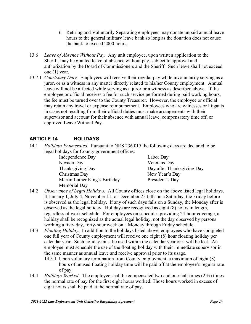- 6. Retiring and Voluntarily Separating employees may donate unpaid annual leave hours to the general military leave bank so long as the donation does not cause the bank to exceed 2000 hours.
- 13.6 *Leave of Absence Without Pay.* Any unit employee, upon written application to the Sheriff, may be granted leave of absence without pay, subject to approval and authorization by the Board of Commissioners and the Sheriff. Such leave shall not exceed one (1) year.
- 13.7.1 *Court/Jury Duty*. Employees will receive their regular pay while involuntarily serving as a juror, or as a witness in any matter directly related to his/her County employment. Annual leave will not be affected while serving as a juror or a witness as described above. If the employee or official receives a fee for such service performed during paid working hours, the fee must be turned over to the County Treasurer. However, the employee or official may retain any travel or expense reimbursement. Employees who are witnesses or litigants in cases not resulting from their official duties must make arrangements with their supervisor and account for their absence with annual leave, compensatory time off, or approved Leave Without Pay.

## <span id="page-24-0"></span>**ARTICLE 14 HOLIDAYS**

14.1 *Holidays Enumerated.* Pursuant to NRS 236.015 the following days are declared to be legal holidays for County government offices:

| Independence Day              | Labor Day                  |
|-------------------------------|----------------------------|
| Nevada Day                    | Veterans Day               |
| Thanksgiving Day              | Day after Thanksgiving Day |
| Christmas Day                 | New Year's Day             |
| Martin Luther King's Birthday | President's Day            |
| Memorial Day                  |                            |

- 14.2 *Observance of Legal Holidays.* All County offices close on the above listed legal holidays. If January 1, July 4, November 11, or December 25 falls on a Saturday, the Friday before is observed as the legal holiday. If any of such days falls on a Sunday, the Monday after is observed as the legal holiday. Holidays are recognized as eight (8) hours in length, regardless of work schedule. For employees on schedules providing 24-hour coverage, a holiday shall be recognized as the actual legal holiday, not the day observed by persons working a five- day, forty-hour week on a Monday through Friday schedule.
- 14.3 *Floating Holiday.* In addition to the holidays listed above, employees who have completed one full year of County employment will receive one eight (8) hour floating holiday per calendar year. Such holiday must be used within the calendar year or it will be lost. An employee must schedule the use of the floating holiday with their immediate supervisor in the same manner as annual leave and receive approval prior to its usage.
	- 14.3.1 Upon voluntary termination from County employment, a maximum of eight (8) hours of unused floating holiday time will be paid off at the employee's regular rate of pay.
- 14.4 *Holidays Worked*. The employee shall be compensated two and one-half times (2 ½) times the normal rate of pay for the first eight hours worked. Those hours worked in excess of eight hours shall be paid at the normal rate of pay.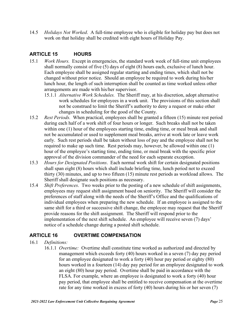14.5 *Holidays Not Worked*. A full-time employee who is eligible for holiday pay but does not work on that holiday shall be credited with eight hours of Holiday Pay.

## <span id="page-25-0"></span>**ARTICLE 15 HOURS**

- 15.1 *Work Hours.* Except in emergencies, the standard work week of full-time unit employees shall normally consist of five (5) days of eight (8) hours each, exclusive of lunch hour. Each employee shall be assigned regular starting and ending times, which shall not be changed without prior notice. Should an employee be required to work during his/her lunch hour, the length of such interruption shall be counted as time worked unless other arrangements are made with his/her supervisor.
	- 15.1.1 *Alternative Work Schedules.* The Sheriff may, at his discretion, adopt alternative work schedules for employees in a work unit. The provisions of this section shall not be construed to limit the Sheriff's authority to deny a request or make other changes in scheduling for the good of the County.
- 15.2 *Rest Periods.* When practical, employees shall be granted a fifteen (15) minute rest period during each half of a work shift of four hours or longer. Such breaks shall not be taken within one (1) hour of the employees starting time, ending time, or meal break and shall not be accumulated or used to supplement meal breaks, arrive at work late or leave work early. Such rest periods shall be taken without loss of pay and the employee shall not be required to make up such time. Rest periods may, however, be allowed within one (1) hour of the employee's starting time, ending time, or meal break with the specific prior approval of the division commander of the need for each separate exception.
- 15.3 *Hours for Designated Positions*. Each normal work shift for certain designated positions shall span eight (8) hours which shall include briefing time, lunch period not to exceed thirty (30) minutes, and up to two fifteen (15) minute rest periods as workload allows. The Sheriff shall designate such positions as necessary.
- 15.4 *Shift Preferences*. Two weeks prior to the posting of a new schedule of shift assignments, employees may request shift assignment based on seniority. The Sheriff will consider the preferences of staff along with the needs of the Sheriff's Office and the qualifications of individual employees when preparing the new schedule. If an employee is assigned to the same shift for a third or successive shift change, the employee may request that the Sheriff provide reasons for the shift assignment. The Sheriff will respond prior to the implementation of the next shift schedule. An employee will receive seven (7) days' notice of a schedule change during a posted shift schedule.

## <span id="page-25-1"></span>**ARTICLE 16 OVERTIME COMPENSATION**

#### 16.1 *Definitions:*

16.1.1 *Overtime:* Overtime shall constitute time worked as authorized and directed by management which exceeds forty (40) hours worked in a seven (7) day pay period for an employee designated to work a forty (40) hour pay period or eighty (80) hours worked in a fourteen (14) day pay period for an employee designated to work an eight (80) hour pay period. Overtime shall be paid in accordance with the FLSA. For example, where an employee is designated to work a forty (40) hour pay period, that employee shall be entitled to receive compensation at the overtime rate for any time worked in excess of forty (40) hours during his or her seven (7)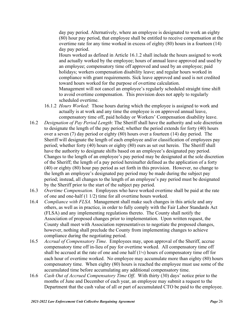day pay period. Alternatively, where an employee is designated to work an eighty (80) hour pay period, that employee shall be entitled to receive compensation at the overtime rate for any time worked in excess of eighty (80) hours in a fourteen (14) day pay period.

Hours worked as defined in Article 16.1.2 shall include the hours assigned to work and actually worked by the employee; hours of annual leave approved and used by an employee; compensatory time off approved and used by an employee; paid holidays; workers compensation disability leave; and regular hours worked in compliance with grant requirements. Sick leave approved and used is not credited toward hours worked for the purpose of overtime calculation.

Management will not cancel an employee's regularly scheduled straight time shift to avoid overtime compensation. This provision does not apply to regularly scheduled overtime.

- 16.1.2 *Hours Worked*: Those hours during which the employee is assigned to work and actually is at work and any time the employee is on approved annual leave, compensatory time off, paid holiday or Workers' Compensation disability leave.
- 16.2 *Designation of Pay Period Length*: The Sheriff shall have the authority and sole discretion to designate the length of the pay period; whether the period extends for forty (40) hours over a seven (7) day period or eighty (80) hours over a fourteen (14) day period. The Sheriff will designate the length of each employee and/or classification of employees pay period; whether forty (40) hours or eighty (80) ours as set out herein. The Sheriff shall have the authority to designate shifts based on an employee's designated pay period. Changes to the length of an employee's pay period may be designated at the sole discretion of the Sheriff; the length of a pay period hereinafter defined as the application of a forty (40) or eighty (80) hour pay period as set forth in this provision. However, no change to the length an employee's designated pay period may be made during the subject pay period; instead, all changes to the length of an employee's pay period must be designated by the Sheriff prior to the start of the subject pay period.
- 16.3 *Overtime Compensation.* Employees who have worked overtime shall be paid at the rate of one and one-half (1 1/2) time for all overtime hours worked.
- 16.4 *Compliance with FLSA.* Management shall make such changes in this article and any others, as well as in practice, in order to fully comply with the Fair Labor Standards Act (FLSA) and any implementing regulations thereto. The County shall notify the Association of proposed changes prior to implementation. Upon written request, the County shall meet with Association representatives to negotiate the proposed changes, however, nothing shall preclude the County from implementing changes to achieve compliance during the negotiating period.
- 16.5 *Accrual of Compensatory Time.* Employees may, upon approval of the Sheriff, accrue compensatory time off in-lieu of pay for overtime worked. All compensatory time off shall be accrued at the rate of one and one half  $(1\frac{1}{2})$  hours of compensatory time off for each hour of overtime worked. No employee may accumulate more than eighty (80) hours compensatory time. When eighty (80) hours is reached the employee must use some of the accumulated time before accumulating any additional compensatory time.
- 16.6 *Cash Out of Accrued Compensatory Time Off*. With thirty (30) days' notice prior to the months of June and December of each year, an employee may submit a request to the Department that the cash value of all or part of accumulated CTO be paid to the employee.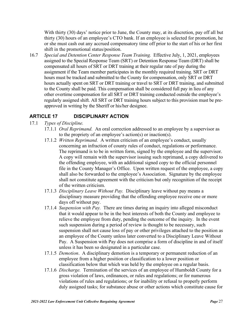With thirty (30) days' notice prior to June, the County may, at its discretion, pay off all but thirty (30) hours of an employee's CTO bank. If an employee is selected for promotion, he or she must cash out any accrued compensatory time off prior to the start of his or her first shift in the promotional status/position.

16.7 *Special and Detention Center Response Team Training.* Effective July, 1, 2021, employees assigned to the Special Response Team (SRT) or Detention Response Team (DRT) shall be compensated all hours of SRT or DRT training at their regular rate of pay during the assignment if the Team member participates in the monthly required training. SRT or DRT hours must be tracked and submitted to the County for compensation, only SRT or DRT hours actually spent on SRT or DRT training or travel to SRT or DRT training, and submitted to the County shall be paid. This compensation shall be considered full pay in lieu of any other overtime compensation for all SRT or DRT training conducted outside the employee's regularly assigned shift. All SRT or DRT training hours subject to this provision must be preapproved in writing by the Sheriff or his/her designee.

## <span id="page-27-0"></span>**ARTICLE 17 DISCIPLINARY ACTION**

- 17.1 *Types of Discipline.*
	- 17.1.1 *Oral Reprimand.* An oral correction addressed to an employee by a supervisor as to the propriety of an employee's action(s) or inaction(s).
	- 17.1.2 *Written Reprimand.* A written criticism of an employee's conduct, usually concerning an infraction of county rules of conduct, regulations or performance. The reprimand is to be in written form, signed by the employee and the supervisor. A copy will remain with the supervisor issuing such reprimand, a copy delivered to the offending employee, with an additional signed copy to the official personnel file in the County Manager's Office. Upon written request of the employee, a copy shall also be forwarded to the employee's Association. Signature by the employee shall not constitute agreement with the criticism but only recognition of the receipt of the written criticism.
	- 17.1.3 *Disciplinary Leave Without Pay.* Disciplinary leave without pay means a disciplinary measure providing that the offending employee receive one or more days off without pay.
	- 17.1.4 *Suspension with Pay.* There are times during an inquiry into alleged misconduct that it would appear to be in the best interests of both the County and employee to relieve the employee from duty, pending the outcome of the inquiry. In the event such suspension during a period of review is thought to be necessary, such suspension shall not cause loss of pay or other privileges attached to the position as an employee of the County unless later converted to a Disciplinary Leave Without Pay. A Suspension with Pay does not comprise a form of discipline in and of itself unless it has been so designated in a particular case.
	- 17.1.5 *Demotion*. A disciplinary demotion is a temporary or permanent reduction of an employee from a higher position or classification to a lower position or classification below that which was held by the employee on a regular basis.
	- 17.1.6 *Discharge.* Termination of the services of an employee of Humboldt County for a gross violation of laws, ordinances, or rules and regulations; or for numerous violations of rules and regulations; or for inability or refusal to properly perform duly assigned tasks; for substance abuse or other actions which constitute cause for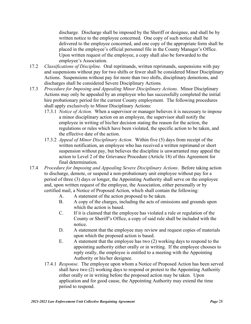discharge. Discharge shall be imposed by the Sheriff or designee, and shall be by written notice to the employee concerned. One copy of such notice shall be delivered to the employee concerned, and one copy of the appropriate form shall be placed in the employee's official personnel file in the County Manager's Office. Upon written request of the employee, a copy shall also be forwarded to the employee's Association.

- 17.2 *Classifications of Discipline.* Oral reprimands, written reprimands, suspensions with pay and suspensions without pay for two shifts or fewer shall be considered Minor Disciplinary Actions. Suspensions without pay for more than two shifts, disciplinary demotions, and discharges shall be considered Severe Disciplinary Actions*.*
- 17.3 *Procedure for Imposing and Appealing Minor Disciplinary Actions.* Minor Disciplinary Actions may only be appealed by an employee who has successfully completed the initial hire probationary period for the current County employment. The following procedures shall apply exclusively to Minor Disciplinary Actions:
	- 17.3.1 *Notice of Action.* When a supervisor or manager believes it is necessary to impose a minor disciplinary action on an employee, the supervisor shall notify the employee in writing of his/her decision stating the reason for the action, the regulations or rules which have been violated, the specific action to be taken, and the effective date of the action.
	- 17.3.2 *Appeal of Minor Disciplinary Action.* Within five (5) days from receipt of the written notification, an employee who has received a written reprimand or short suspension without pay, but believes the discipline is unwarranted may appeal the action to Level 2 of the Grievance Procedure (Article 18) of this Agreement for final determination.
- 17.4 *Procedure for Imposing and Appealing Severe Disciplinary Actions*. Before taking action to discharge, demote, or suspend a non-probationary unit employee without pay for a period of three (3) days or longer, the Appointing Authority shall serve on the employee and, upon written request of the employee, the Association, either personally or by certified mail, a Notice of Proposed Action, which shall contain the following:
	- A. A statement of the action proposed to be taken.
	- B. A copy of the charges, including the acts of omissions and grounds upon which the action is based.
	- C. If it is claimed that the employee has violated a rule or regulation of the County or Sheriff's Office, a copy of said rule shall be included with the notice.
	- D. A statement that the employee may review and request copies of materials upon which the proposed action is based.
	- E. A statement that the employee has two (2) working days to respond to the appointing authority either orally or in writing. If the employee chooses to reply orally, the employee is entitled to a meeting with the Appointing Authority or his/her designee.
	- 17.4.1 *Response*. The employee upon whom a Notice of Proposed Action has been served shall have two (2) working days to respond or protest to the Appointing Authority either orally or in writing before the proposed action may be taken. Upon application and for good cause, the Appointing Authority may extend the time period to respond.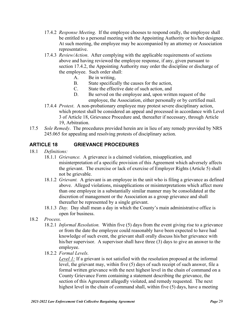- 17.4.2 *Response Meeting*. If the employee chooses to respond orally, the employee shall be entitled to a personal meeting with the Appointing Authority or his/her designee. At such meeting, the employee may be accompanied by an attorney or Association representative.
- 17.4.3 *Review/Action*. After complying with the applicable requirements of sections above and having reviewed the employee response, if any, given pursuant to section 17.4.2, the Appointing Authority may order the discipline or discharge of the employee. Such order shall:
	- A. Be in writing,
	- B. State specifically the causes for the action,
	- C. State the effective date of such action, and
	- D. Be served on the employee and, upon written request of the employee, the Association, either personally or by certified mail.
- 17.4.4 *Protest*. A non-probationary employee may protest severe disciplinary action, which protest shall be considered an appeal and processed in accordance with Level 3 of Article 18, Grievance Procedure and, thereafter if necessary, through Article 19, Arbitration.
- 17.5 *Sole Remedy*. The procedures provided herein are in lieu of any remedy provided by NRS 245.065 for appealing and resolving protests of disciplinary action.

## <span id="page-29-0"></span>**ARTICLE 18 GRIEVANCE PROCEDURES**

- 18.1 *Definitions:*
	- 18.1.1 *Grievance.* A grievance is a claimed violation, misapplication, and misinterpretation of a specific provision of this Agreement which adversely affects the grievant. The exercise or lack of exercise of Employer Rights (Article 5) shall not be grievable.
	- 18.1.2 *Grievant.* A grievant is an employee in the unit who is filing a grievance as defined above. Alleged violations, misapplications or misinterpretations which affect more than one employee in a substantially similar manner may be consolidated at the discretion of management or the Association as a group grievance and shall thereafter be represented by a single grievant.
	- 18.1.3 *Day.* Day shall mean a day in which the County's main administrative office is open for business.
- 18.2 *Process.*
	- 18.2.1 *Informal Resolution.* Within five (5) days from the event giving rise to a grievance or from the date the employee could reasonably have been expected to have had knowledge of such event, the grievant shall orally discuss his/her grievance with his/her supervisor. A supervisor shall have three (3) days to give an answer to the employee.
	- 18.2.2 *Formal Levels.*

*Level 1:* If a grievant is not satisfied with the resolution proposed at the informal level, the grievant may, within five (5) days of such receipt of such answer, file a formal written grievance with the next highest level in the chain of command on a County Grievance Form containing a statement describing the grievance, the section of this Agreement allegedly violated, and remedy requested. The next highest level in the chain of command shall, within five (5) days, have a meeting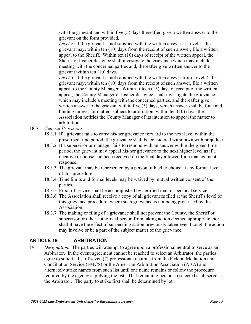with the grievant and within five (5) days thereafter, give a written answer to the grievant on the form provided.

*Level 2:* If the grievant is not satisfied with the written answer at Level 1, the grievant may, within ten (10) days from the receipt of such answer, file a written appeal to the Sheriff. Within ten (10) days of receipt of the written appeal, the Sheriff or his/her designee shall investigate the grievance which may include a meeting with the concerned parties and, thereafter give written answer to the grievant within ten (10) days.

*Level 3:* If the grievant is not satisfied with the written answer from Level 2, the grievant may, within ten (10) days from the receipt of such answer, file a written appeal to the County Manager. Within fifteen (15) days of receipt of the written appeal, the County Manager or his/her designee, shall investigate the grievance which may include a meeting with the concerned parties, and thereafter give written answer to the grievant within five (5) days, which answer shall be final and binding unless, for matters subject to arbitration, within ten (10) days, the Association notifies the County Manager of its intention to appeal the matter to arbitration.

- 18.3 *General Provisions.*
	- 18.3.1 If a grievant fails to carry his/her grievance forward to the next level within the prescribed time period, the grievance shall be considered withdrawn with prejudice.
	- 18.3.2 If a supervisor or manager fails to respond with an answer within the given time period, the grievant may appeal his/her grievance to the next higher level as if a negative response had been received on the final day allowed for a management response.
	- 18.3.3 The grievant may be represented by a person of his/her choice at any formal level of this procedure.
	- 18.3.4 Time limits and formal levels may be waived by mutual written consent of the parties.
	- 18.3.5 Proof of service shall be accomplished by certified mail or personal service.
	- 18.3.6 The Association shall receive a copy of all grievances filed at the Sheriff's level of this grievance procedure, where such grievance is not being processed by the Association.
	- 18.3.7 The making or filing of a grievance shall not prevent the County, the Sheriff or supervisor or other authorized person from taking action deemed appropriate, nor shall it have the effect of suspending action previously taken even though the action may involve or be a part of the subject matter of the grievance.

#### <span id="page-30-0"></span>**ARTICLE 19 ARBITRATION**

19.1 *Designation.* The parties will attempt to agree upon a professional neutral to serve as an Arbitrator. In the event agreement cannot be reached to select an Arbitrator, the parties agree to solicit a list of seven (7) professional neutrals from the Federal Mediation and Conciliation Service (FMCS) or the American Arbitration Association (AAA) and alternately strike names from such list until one name remains or follow the procedure required by the agency supplying the list. That remaining person so selected shall serve as the Arbitrator. The party to strike first shall be determined by lot.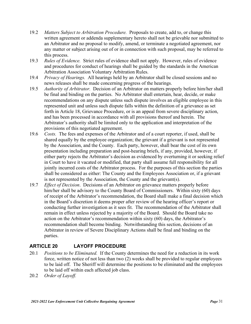- 19.2 *Matters Subject to Arbitration Procedure.* Proposals to create, add to, or change this written agreement or addenda supplementary hereto shall not be grievable nor submitted to an Arbitrator and no proposal to modify, amend, or terminate a negotiated agreement, nor any matter or subject arising out of or in connection with such proposal, may be referred to this process.
- 19.3 *Rules of Evidence.* Strict rules of evidence shall not apply. However, rules of evidence and procedures for conduct of hearings shall be guided by the standards in the American Arbitration Association Voluntary Arbitration Rules.
- 19.4 *Privacy of Hearings.* All hearings held by an Arbitrator shall be closed sessions and no news releases shall be made concerning progress of the hearings.
- 19.5 *Authority of Arbitrator.* Decision of an Arbitrator on matters properly before him/her shall be final and binding on the parties. No Arbitrator shall entertain, hear, decide, or make recommendations on any dispute unless such dispute involves an eligible employee in this represented unit and unless such dispute falls within the definition of a grievance as set forth in Article 18, Grievance Procedure, or is an appeal from severe disciplinary action, and has been processed in accordance with all provisions thereof and herein. The Arbitrator's authority shall be limited only to the application and interpretation of the provisions of this negotiated agreement.
- 19.6 *Costs.* The fees and expenses of the Arbitrator and of a court reporter, if used, shall be shared equally by the employee organization; the grievant if a grievant is not represented by the Association, and the County. Each party, however, shall bear the cost of its own presentation including preparation and post-hearing briefs, if any, provided, however, if either party rejects the Arbitrator's decision as evidenced by overturning it or seeking relief in Court to have it vacated or modified, that party shall assume full responsibility for all jointly incurred costs of the Arbitrator process. For the purposes of this section the parties shall be considered as either: The County and the Employees Association or, if a grievant is not represented by the Association, the County and the grievant(s).
- 19.7 *Effect of Decision*. Decisions of an Arbitrator on grievance matters properly before him/her shall be advisory to the County Board of Commissioners. Within sixty (60) days of receipt of the Arbitrator's recommendation, the Board shall make a final decision which in the Board's discretion it deems proper after review of the hearing officer's report or conducting further investigation as it sees fit. The recommendation of the Arbitrator shall remain in effect unless rejected by a majority of the Board. Should the Board take no action on the Arbitrator's recommendation within sixty (60) days, the Arbitrator's recommendation shall become binding. Notwithstanding this section, decisions of an Arbitrator in review of Severe Disciplinary Actions shall be final and binding on the parties.

## <span id="page-31-0"></span>**ARTICLE 20 LAYOFF PROCEDURE**

- 20.1 *Positions to be Eliminated.* If the County determines the need for a reduction in its work force, written notice of not less than two (2) weeks shall be provided to regular employees to be laid off. The Sheriff will determine the positions to be eliminated and the employees to be laid off within each affected job class.
- 20.2 *Order of Layoff.*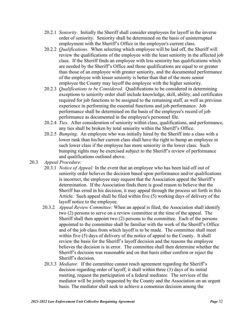- 20.2.1 *Seniority*. Initially the Sheriff shall consider employees for layoff in the inverse order of seniority. Seniority shall be determined on the basis of uninterrupted employment with the Sheriff's Office in the employee's current class.
- 20.2.2 *Qualifications*. When selecting which employee will be laid off, the Sheriff will review the qualifications of the employee with the least seniority in the affected job class. If the Sheriff finds an employee with less seniority has qualifications which are needed by the Sheriff's Office and those qualifications are equal to or greater than those of an employee with greater seniority, and the documented performance of the employee with lesser seniority is better than that of the more senior employee the County may layoff the employee with the higher seniority.
- 20.2.3 *Qualifications to be Considered*. Qualifications to be considered in determining exceptions to seniority order shall include knowledge, skill, ability, and certificates required for job functions to be assigned to the remaining staff, as well as previous experience in performing the essential functions and job performance. Job performance shall be determined on the basis of the employee's record of job performance as documented in the employee's personnel file.
- 20.2.4 *Ties*. After consideration of seniority within class, qualifications, and performance, any ties shall be broken by total seniority within the Sheriff's Office.
- 20.2.5 *Bumping*. An employee who was initially hired by the Sheriff into a class with a lower rank than his/her current class shall have the right to bump an employee in such lower class if the employee has more seniority in the lower class. Such bumping rights may be exercised subject to the Sheriff's review of performance and qualifications outlined above.

#### 20.3 *Appeal Procedure:*

- 20.3.1 *Notice of Appeal:* In the event that an employee who has been laid off out of seniority order believes the decision based upon performance and/or qualifications is incorrect, the employee may request that the Association appeal the Sheriff's determination. If the Association finds there is good reason to believe that the Sheriff has erred in his decision, it may appeal through the process set forth in this Article. Such appeal shall be filed within five (5) working days of delivery of the layoff notice to the employee.
- 20.3.2 *Appeal Review Committee:* When an appeal is filed, the Association shall identify two (2) persons to serve on a review committee at the time of the appeal. The Sheriff shall then appoint two (2) persons to the committee. Each of the persons appointed to the committee shall be familiar with the work of the Sheriff's Office and of the job class from which layoff is to be made. The committee shall meet within five (5) days of delivery of the notice of appeal to the County. It shall review the basis for the Sheriff's layoff decision and the reasons the employee believes the decision is in error. The committee shall then determine whether the Sheriff's decision was reasonable and on that basis either confirm or reject the Sheriff's decision.
- 20.3.3 *Mediator.* If the committee cannot reach agreement regarding the Sheriff's decision regarding order of layoff, it shall within three (3) days of its initial meeting, request the participation of a federal mediator. The services of the mediator will be jointly requested by the County and the Association on an urgent basis. The mediator shall seek to achieve a consensus decision among the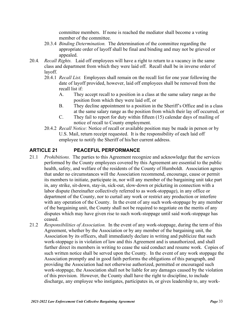committee members. If none is reached the mediator shall become a voting member of the committee.

- 20.3.4 *Binding Determination.* The determination of the committee regarding the appropriate order of layoff shall be final and binding and may not be grieved or appealed.
- 20.4*. Recall Rights.* Laid off employees will have a right to return to a vacancy in the same class and department from which they were laid off. Recall shall be in inverse order of layoff.
	- 20.4.1 *Recall List.* Employees shall remain on the recall list for one year following the date of layoff provided, however, laid off employees shall be removed from the recall list if:
		- A. They accept recall to a position in a class at the same salary range as the position from which they were laid off, or
		- B. They decline appointment to a position in the Sheriff's Office and in a class at the same salary range as the position from which their lay off occurred, or
		- C. They fail to report for duty within fifteen (15) calendar days of mailing of notice of recall to County employment.
	- 20.4.2 *Recall Notice:* Notice of recall or available position may be made in person or by U.S. Mail, return receipt requested. It is the responsibility of each laid off employee to notify the Sheriff of his/her current address.

## <span id="page-33-0"></span>**ARTICLE 21 PEACEFUL PERFORMANCE**

- 21.1 *Prohibitions.* The parties to this Agreement recognize and acknowledge that the services performed by the County employees covered by this Agreement are essential to the public health, safety, and welfare of the residents of the County of Humboldt. Association agrees that under no circumstances will the Association recommend, encourage, cause or permit its members to initiate, participate in, nor will any member of the bargaining unit take part in, any strike, sit-down, stay-in, sick-out, slow-down or picketing in connection with a labor dispute (hereinafter collectively referred to as work-stoppage), in any office or department of the County, nor to curtail any work or restrict any production or interfere with any operation of the County. In the event of any such work-stoppage by any member of the bargaining unit, the County shall not be required to negotiate on the merits of any disputes which may have given rise to such work-stoppage until said work-stoppage has ceased.
- 21.2 *Responsibilities of Association.* In the event of any work-stoppage, during the term of this Agreement, whether by the Association or by any member of the bargaining unit, the Association by its officers, shall immediately declare in writing and publicize that such work-stoppage is in violation of law and this Agreement and is unauthorized, and shall further direct its members in writing to cease the said conduct and resume work. Copies of such written notice shall be served upon the County. In the event of any work stoppage the Association promptly and in good faith performs the obligations of this paragraph, and providing the Association had not otherwise authorized, permitted or encouraged such work-stoppage, the Association shall not be liable for any damages caused by the violation of this provision. However, the County shall have the right to discipline, to include discharge, any employee who instigates, participates in, or gives leadership to, any work-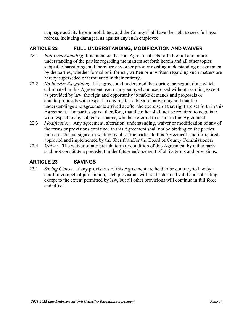stoppage activity herein prohibited, and the County shall have the right to seek full legal redress, including damages, as against any such employee.

## <span id="page-34-0"></span>**ARTICLE 22 FULL UNDERSTANDING, MODIFICATION AND WAIVER**

- 22.1 *Full Understanding.* It is intended that this Agreement sets forth the full and entire understanding of the parties regarding the matters set forth herein and all other topics subject to bargaining, and therefore any other prior or existing understanding or agreement by the parties, whether formal or informal, written or unwritten regarding such matters are hereby superseded or terminated in their entirety.
- 22.2 *No Interim Bargaining*. It is agreed and understood that during the negotiations which culminated in this Agreement, each party enjoyed and exercised without restraint, except as provided by law, the right and opportunity to make demands and proposals or counterproposals with respect to any matter subject to bargaining and that the understandings and agreements arrived at after the exercise of that right are set forth in this Agreement. The parties agree, therefore, that the other shall not be required to negotiate with respect to any subject or matter, whether referred to or not in this Agreement.
- 22.3 *Modification.* Any agreement, alteration, understanding, waiver or modification of any of the terms or provisions contained in this Agreement shall not be binding on the parties unless made and signed in writing by all of the parties to this Agreement, and if required, approved and implemented by the Sheriff and/or the Board of County Commissioners.
- 22.4 *Waiver.* The waiver of any breach, term or condition of this Agreement by either party shall not constitute a precedent in the future enforcement of all its terms and provisions.

## <span id="page-34-1"></span>**ARTICLE 23 SAVINGS**

23.1 *Saving Clause.* If any provisions of this Agreement are held to be contrary to law by a court of competent jurisdiction, such provisions will not be deemed valid and subsisting except to the extent permitted by law, but all other provisions will continue in full force and effect.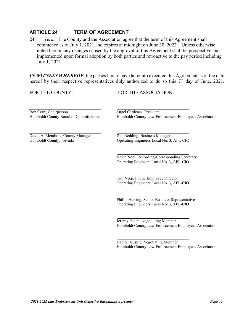## <span id="page-35-0"></span>**ARTICLE 24 TERM OF AGREEMENT**

24.1 *Term.* The County and the Association agree that the term of this Agreement shall commence as of July 1, 2021 and expires at midnight on June 30, 2022. Unless otherwise noted herein, any changes caused by the approval of this Agreement shall be prospective and implemented upon formal adoption by both parties and retroactive to the pay period including July 1, 2021.

*IN WITNESS WHEREOF*, the parties hereto have hereunto executed this Agreement as of the date hereof by their respective representatives duly authorized to do so this 7<sup>th</sup> day of June, 2021.

FOR THE COUNTY: FOR THE ASSOCIATION:

Ron Cerri, Chairperson Angel Cardenas, President

David A. Mendiola, County Manager Dan Redding, Business Manager

Humboldt County Board of Commissioners Humboldt County Law Enforcement Employees Association

Humboldt County, Nevada Operating Engineers Local No. 3, AFL-CIO

 Bruce Noel, Recording-Corresponding Secretary Operating Engineers Local No. 3, AFL-CIO

 Tim Neep, Public Employee Director Operating Engineers Local No. 3, AFL-CIO

 Phillip Herring, Senior Business Representative Operating Engineers Local No. 3, AFL-CIO

 Jeremy Peters, Negotiating Member Humboldt County Law Enforcement Employees Association

 Damon Kuskie, Negotiating Member Humboldt County Law Enforcement Employees Association